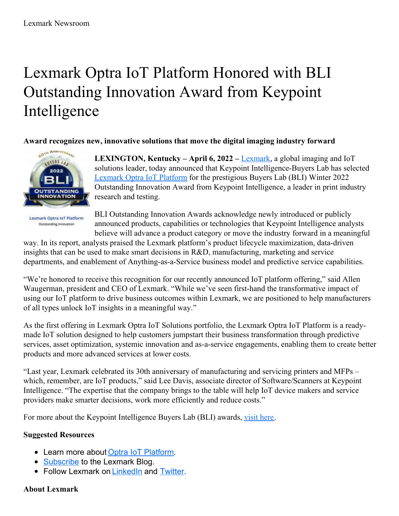# Lexmark Optra IoT Platform Honored with BLI Outstanding Innovation Award from Keypoint Intelligence

**Award recognizes new, innovative solutions that move the digital imaging industry forward**



**Lexmark Optra IoT Platform** Outstanding Innovation

**LEXINGTON, Kentucky – April 6, 2022 –** [Lexmark](http://www.lexmark.com/), a global imaging and IoT solutions leader, today announced that Keypoint Intelligence-Buyers Lab has selected [Lexmark](https://www.lexmark.com/en_us/solutions/optra-iot-platform.html) Optra IoT Platform for the prestigious Buyers Lab (BLI) Winter 2022 Outstanding Innovation Award from Keypoint Intelligence, a leader in print industry research and testing.

BLI Outstanding Innovation Awards acknowledge newly introduced or publicly announced products, capabilities or technologies that Keypoint Intelligence analysts believe will advance a product category or move the industry forward in a meaningful

way. In its report, analysts praised the Lexmark platform's product lifecycle maximization, data-driven insights that can be used to make smart decisions in R&D, manufacturing, marketing and service departments, and enablement of Anything-as-a-Service business model and predictive service capabilities.

"We're honored to receive this recognition for our recently announced IoT platform offering," said Allen Waugerman, president and CEO of Lexmark. "While we've seen first-hand the transformative impact of using our IoT platform to drive business outcomes within Lexmark, we are positioned to help manufacturers of all types unlock IoT insights in a meaningful way."

As the first offering in Lexmark Optra IoT Solutions portfolio, the Lexmark Optra IoT Platform is a readymade IoT solution designed to help customers jumpstart their business transformation through predictive services, asset optimization, systemic innovation and as-a-service engagements, enabling them to create better products and more advanced services at lower costs.

"Last year, Lexmark celebrated its 30th anniversary of manufacturing and servicing printers and MFPs – which, remember, are IoT products," said Lee Davis, associate director of Software/Scanners at Keypoint Intelligence. "The expertise that the company brings to the table will help IoT device makers and service providers make smarter decisions, work more efficiently and reduce costs."

For more about the Keypoint Intelligence Buyers Lab (BLI) awards, visit [here](https://www.lexmark.com/en_us/analyst-insights/lexmark-optra-iot-platform-is-a-2022-keypoint-intelligence.html).

## **Suggested Resources**

- Learn more about Optra IoT [Platform](https://www.lexmark.com/en_us/solutions/optra-iot-platform.html).
- [Subscribe](https://www.lexmark.com/en_us/lexmark-blog.html) to the Lexmark Blog.
- **Follow Lexmark on [LinkedIn](https://www.linkedin.com/company/lexmark) and [Twitter](https://twitter.com/lexmark).**

## **About Lexmark**